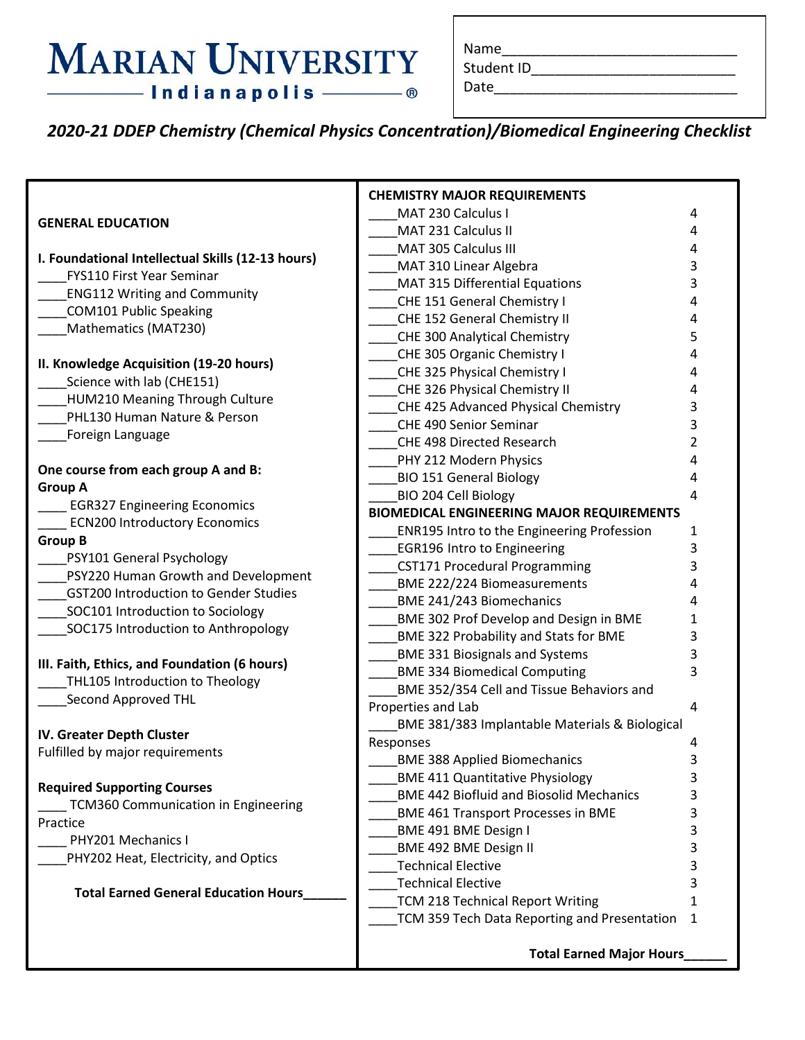### **MARIAN UNIVERSITY** - Indianapolis ———— ®

| Name |  |  |
|------|--|--|
|      |  |  |

Student ID\_\_\_\_\_\_\_\_\_\_\_\_\_\_\_\_\_\_\_\_\_\_\_\_\_\_

Date\_\_\_\_\_\_\_\_\_\_\_\_\_\_\_\_\_\_\_\_\_\_\_\_\_\_\_\_\_\_\_

*2020-21 DDEP Chemistry (Chemical Physics Concentration)/Biomedical Engineering Checklist*

|                                                   | <b>CHEMISTRY MAJOR REQUIREMENTS</b>              |                |
|---------------------------------------------------|--------------------------------------------------|----------------|
|                                                   | MAT 230 Calculus I                               | 4              |
| <b>GENERAL EDUCATION</b>                          | MAT 231 Calculus II                              | 4              |
|                                                   | MAT 305 Calculus III                             | 4              |
| I. Foundational Intellectual Skills (12-13 hours) | MAT 310 Linear Algebra                           | 3              |
| <b>FYS110 First Year Seminar</b>                  | MAT 315 Differential Equations                   | 3              |
| <b>ENG112 Writing and Community</b>               | CHE 151 General Chemistry I                      | 4              |
| <b>COM101 Public Speaking</b>                     | CHE 152 General Chemistry II                     | 4              |
| Mathematics (MAT230)                              | <b>CHE 300 Analytical Chemistry</b>              | 5              |
|                                                   | CHE 305 Organic Chemistry I                      | 4              |
| II. Knowledge Acquisition (19-20 hours)           | CHE 325 Physical Chemistry I                     | 4              |
| Science with lab (CHE151)                         | CHE 326 Physical Chemistry II                    | 4              |
| HUM210 Meaning Through Culture                    | CHE 425 Advanced Physical Chemistry              | 3              |
| PHL130 Human Nature & Person                      | CHE 490 Senior Seminar                           | 3              |
| Foreign Language                                  | CHE 498 Directed Research                        | $\overline{2}$ |
|                                                   | PHY 212 Modern Physics                           | 4              |
| One course from each group A and B:               | <b>BIO 151 General Biology</b>                   | 4              |
| <b>Group A</b>                                    | BIO 204 Cell Biology                             | 4              |
| <b>EGR327 Engineering Economics</b>               | <b>BIOMEDICAL ENGINEERING MAJOR REQUIREMENTS</b> |                |
| <b>ECN200 Introductory Economics</b>              | ENR195 Intro to the Engineering Profession       | 1              |
| <b>Group B</b>                                    | <b>EGR196 Intro to Engineering</b>               | 3              |
| PSY101 General Psychology                         | <b>CST171 Procedural Programming</b>             | 3              |
| PSY220 Human Growth and Development               | <b>BME 222/224 Biomeasurements</b>               | 4              |
| <b>GST200 Introduction to Gender Studies</b>      | BME 241/243 Biomechanics                         | 4              |
| SOC101 Introduction to Sociology                  | <b>BME 302 Prof Develop and Design in BME</b>    | 1              |
| SOC175 Introduction to Anthropology               | <b>BME 322 Probability and Stats for BME</b>     | 3              |
|                                                   | <b>BME 331 Biosignals and Systems</b>            | 3              |
| III. Faith, Ethics, and Foundation (6 hours)      | <b>BME 334 Biomedical Computing</b>              | 3              |
| THL105 Introduction to Theology                   | BME 352/354 Cell and Tissue Behaviors and        |                |
| Second Approved THL                               | Properties and Lab                               | 4              |
|                                                   | BME 381/383 Implantable Materials & Biological   |                |
| IV. Greater Depth Cluster                         | Responses                                        | 4              |
| Fulfilled by major requirements                   | <b>BME 388 Applied Biomechanics</b>              | 3              |
|                                                   | <b>BME 411 Quantitative Physiology</b>           | 3              |
| <b>Required Supporting Courses</b>                | <b>BME 442 Biofluid and Biosolid Mechanics</b>   | 3              |
| TCM360 Communication in Engineering               | <b>BME 461 Transport Processes in BME</b>        |                |
| Practice                                          | BME 491 BME Design I                             |                |
| PHY201 Mechanics I                                | BME 492 BME Design II                            | 3              |
| PHY202 Heat, Electricity, and Optics              | <b>Technical Elective</b>                        |                |
|                                                   | <b>Technical Elective</b>                        |                |
| <b>Total Earned General Education Hours_</b>      | <b>TCM 218 Technical Report Writing</b>          | 1              |
|                                                   | TCM 359 Tech Data Reporting and Presentation     | 1              |
|                                                   |                                                  |                |
|                                                   | <b>Total Earned Major Hours</b>                  |                |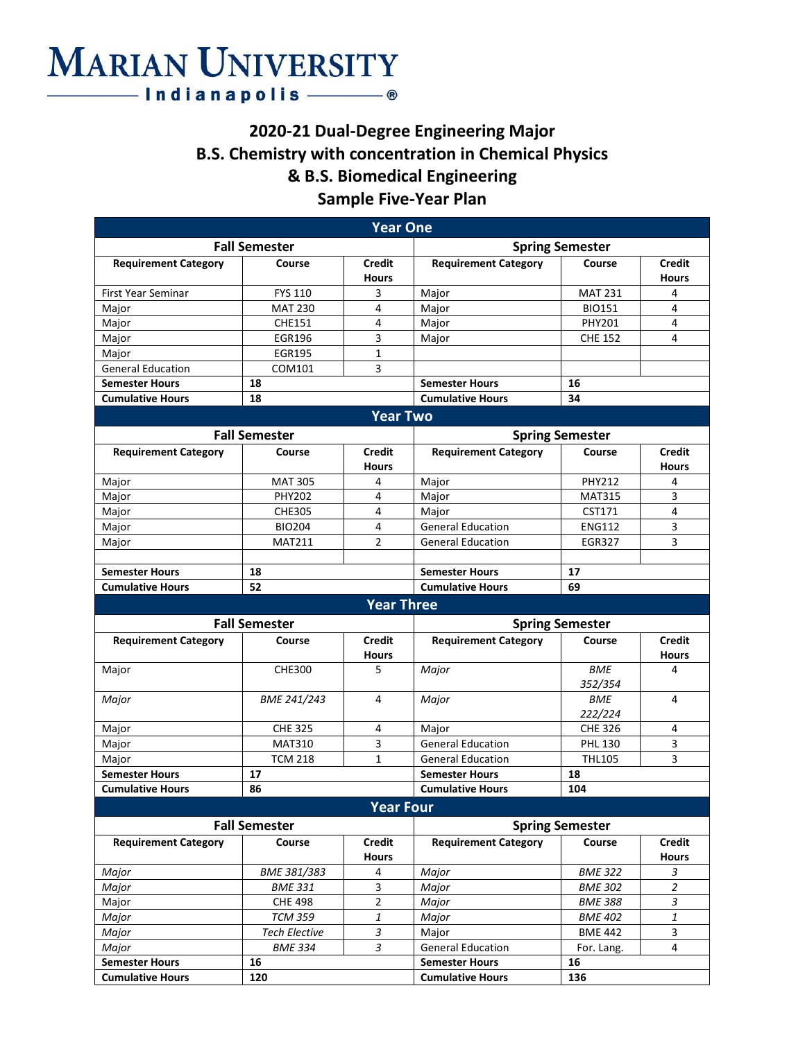# **MARIAN UNIVERSITY**

### **2020-21 Dual-Degree Engineering Major B.S. Chemistry with concentration in Chemical Physics & B.S. Biomedical Engineering Sample Five-Year Plan**

| <b>Year One</b>             |                      |                               |                             |                        |                               |
|-----------------------------|----------------------|-------------------------------|-----------------------------|------------------------|-------------------------------|
| <b>Fall Semester</b>        |                      |                               | <b>Spring Semester</b>      |                        |                               |
| <b>Requirement Category</b> | Course               | <b>Credit</b>                 | <b>Requirement Category</b> | Course                 | <b>Credit</b>                 |
|                             |                      | <b>Hours</b>                  |                             |                        | <b>Hours</b>                  |
| First Year Seminar          | <b>FYS 110</b>       | 3                             | Major                       | <b>MAT 231</b>         | 4                             |
| Major                       | <b>MAT 230</b>       | 4                             | Major                       | <b>BIO151</b>          | 4                             |
| Major                       | <b>CHE151</b>        | 4                             | Major                       | <b>PHY201</b>          | 4                             |
| Major                       | <b>EGR196</b>        | 3                             | Major                       | <b>CHE 152</b>         | 4                             |
| Major                       | <b>EGR195</b>        | 1                             |                             |                        |                               |
| <b>General Education</b>    | COM101               | 3                             |                             |                        |                               |
| <b>Semester Hours</b>       | 18                   |                               | <b>Semester Hours</b>       | 16                     |                               |
| <b>Cumulative Hours</b>     | 18                   |                               | <b>Cumulative Hours</b>     | 34                     |                               |
|                             |                      | <b>Year Two</b>               |                             |                        |                               |
|                             | <b>Fall Semester</b> |                               |                             | <b>Spring Semester</b> |                               |
| <b>Requirement Category</b> | Course               | <b>Credit</b>                 | <b>Requirement Category</b> | Course                 | <b>Credit</b>                 |
|                             |                      | <b>Hours</b>                  |                             |                        | <b>Hours</b>                  |
| Major                       | <b>MAT 305</b>       | 4                             | Major                       | <b>PHY212</b>          | 4                             |
| Major                       | <b>PHY202</b>        | 4                             | Major                       | <b>MAT315</b>          | 3                             |
| Major                       | <b>CHE305</b>        | 4                             | Major                       | CST171                 | 4                             |
| Major                       | <b>BIO204</b>        | 4                             | <b>General Education</b>    | <b>ENG112</b>          | 3                             |
| Major                       | <b>MAT211</b>        | $\overline{2}$                | <b>General Education</b>    | <b>EGR327</b>          | 3                             |
|                             |                      |                               |                             |                        |                               |
| <b>Semester Hours</b>       | 18                   |                               | <b>Semester Hours</b>       | 17                     |                               |
| <b>Cumulative Hours</b>     | 52                   |                               | <b>Cumulative Hours</b>     | 69                     |                               |
|                             |                      | <b>Year Three</b>             |                             |                        |                               |
|                             | <b>Fall Semester</b> |                               |                             | <b>Spring Semester</b> |                               |
| <b>Requirement Category</b> | Course               | <b>Credit</b>                 | <b>Requirement Category</b> | Course                 | <b>Credit</b>                 |
|                             |                      | <b>Hours</b>                  |                             |                        | <b>Hours</b>                  |
| Major                       | <b>CHE300</b>        | 5                             | Major                       | <b>BME</b>             | 4                             |
|                             |                      |                               |                             | 352/354                |                               |
| Major                       | BME 241/243          | 4                             | Major                       | <b>BME</b>             | 4                             |
|                             |                      |                               |                             | 222/224                |                               |
| Major                       | <b>CHE 325</b>       | 4                             | Major                       | <b>CHE 326</b>         | 4                             |
| Major                       | <b>MAT310</b>        |                               |                             |                        |                               |
| Major                       |                      | 3                             | <b>General Education</b>    | PHL 130                | 3                             |
|                             | <b>TCM 218</b>       | $\mathbf{1}$                  | <b>General Education</b>    | <b>THL105</b>          | 3                             |
| <b>Semester Hours</b>       | 17                   |                               | <b>Semester Hours</b>       | 18                     |                               |
| <b>Cumulative Hours</b>     | 86                   |                               | <b>Cumulative Hours</b>     | 104                    |                               |
|                             |                      |                               |                             |                        |                               |
|                             |                      | <b>Year Four</b>              |                             |                        |                               |
|                             | <b>Fall Semester</b> |                               |                             | <b>Spring Semester</b> |                               |
| <b>Requirement Category</b> | Course               | <b>Credit</b><br><b>Hours</b> | <b>Requirement Category</b> | Course                 | <b>Credit</b><br><b>Hours</b> |
| Major                       | BME 381/383          | 4                             | Major                       | <b>BME 322</b>         | 3                             |
| Major                       | <b>BME 331</b>       | 3                             | Major                       | <b>BME 302</b>         | $\overline{2}$                |
| Major                       | <b>CHE 498</b>       | $\overline{2}$                | Major                       | <b>BME 388</b>         | 3                             |
| Major                       | <b>TCM 359</b>       | $\ensuremath{\mathbf{1}}$     | Major                       | <b>BME 402</b>         | $\ensuremath{\mathbf{1}}$     |
| Major                       | <b>Tech Elective</b> | 3                             | Major                       | <b>BME 442</b>         | 3                             |
| Major                       | <b>BME 334</b>       | 3                             | <b>General Education</b>    | For. Lang.             | 4                             |
| <b>Semester Hours</b>       | 16                   |                               | <b>Semester Hours</b>       | 16                     |                               |